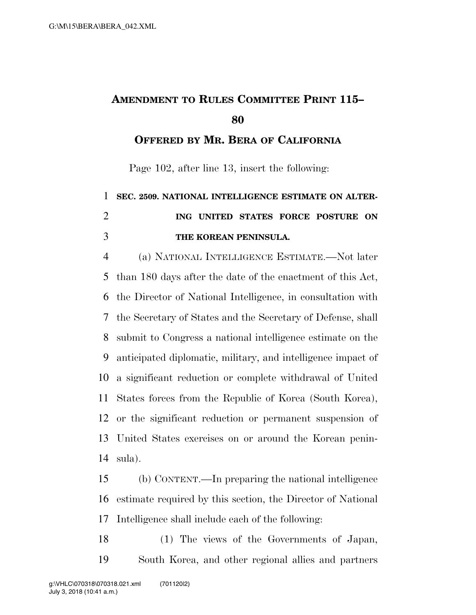## **AMENDMENT TO RULES COMMITTEE PRINT 115–**

**OFFERED BY MR. BERA OF CALIFORNIA**

Page 102, after line 13, insert the following:

## **SEC. 2509. NATIONAL INTELLIGENCE ESTIMATE ON ALTER- ING UNITED STATES FORCE POSTURE ON THE KOREAN PENINSULA.**

 (a) NATIONAL INTELLIGENCE ESTIMATE.—Not later than 180 days after the date of the enactment of this Act, the Director of National Intelligence, in consultation with the Secretary of States and the Secretary of Defense, shall submit to Congress a national intelligence estimate on the anticipated diplomatic, military, and intelligence impact of a significant reduction or complete withdrawal of United States forces from the Republic of Korea (South Korea), or the significant reduction or permanent suspension of United States exercises on or around the Korean penin-sula).

 (b) CONTENT.—In preparing the national intelligence estimate required by this section, the Director of National Intelligence shall include each of the following:

 (1) The views of the Governments of Japan, South Korea, and other regional allies and partners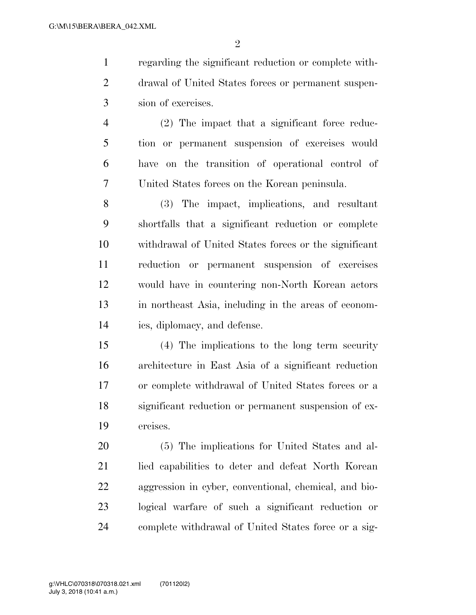$\mathfrak{D}$ 

 regarding the significant reduction or complete with- drawal of United States forces or permanent suspen-sion of exercises.

 (2) The impact that a significant force reduc- tion or permanent suspension of exercises would have on the transition of operational control of United States forces on the Korean peninsula.

 (3) The impact, implications, and resultant shortfalls that a significant reduction or complete withdrawal of United States forces or the significant reduction or permanent suspension of exercises would have in countering non-North Korean actors in northeast Asia, including in the areas of econom-ics, diplomacy, and defense.

 (4) The implications to the long term security architecture in East Asia of a significant reduction or complete withdrawal of United States forces or a significant reduction or permanent suspension of ex-ercises.

 (5) The implications for United States and al- lied capabilities to deter and defeat North Korean aggression in cyber, conventional, chemical, and bio- logical warfare of such a significant reduction or complete withdrawal of United States force or a sig